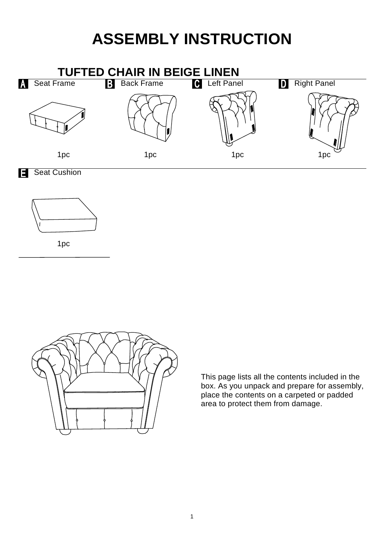## **ASSEMBLY INSTRUCTION**



Seat Cushion





This page lists all the contents included in the box. As you unpack and prepare for assembly, place the contents on a carpeted or padded area to protect them from damage.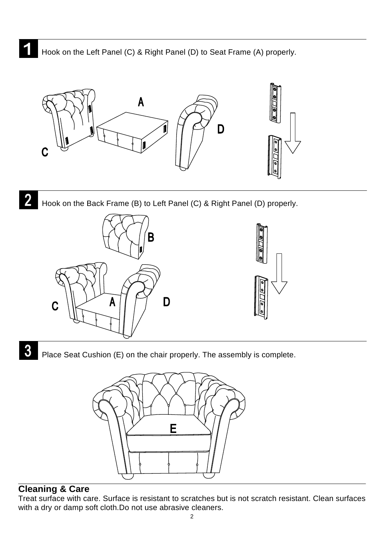



Hook on the Back Frame (B) to Left Panel (C) & Right Panel (D) properly.



Place Seat Cushion (E) on the chair properly. The assembly is complete.



#### **Cleaning & Care**

Treat surface with care. Surface is resistant to scratches but is not scratch resistant. Clean surfaces with a dry or damp soft cloth.Do not use abrasive cleaners.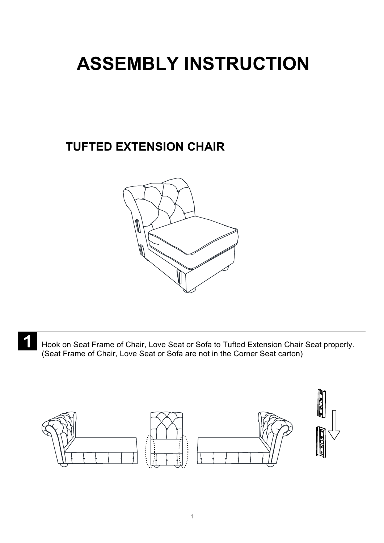# **ASSEMBLY INSTRUCTION**

### **TUFTED EXTENSION CHAIR**



1

Hook on Seat Frame of Chair, Love Seat or Sofa to Tufted Extension Chair Seat properly. (Seat Frame of Chair, Love Seat or Sofa are not in the Corner Seat carton)